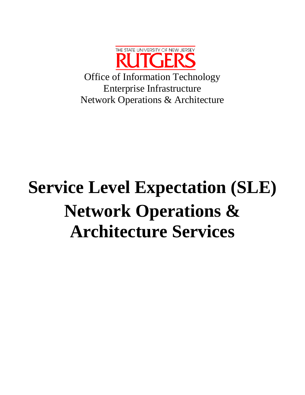

Office of Information Technology Enterprise Infrastructure Network Operations & Architecture

# **Service Level Expectation (SLE) Network Operations & Architecture Services**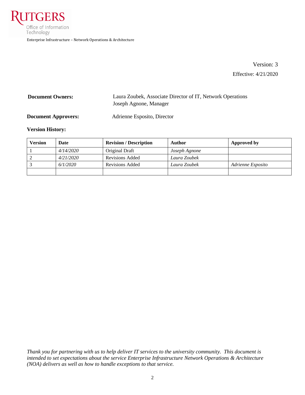

Version: 3 Effective: 4/21/2020

| <b>Document Owners:</b> | Laura Zoubek, Associate Director of IT, Network Operations |
|-------------------------|------------------------------------------------------------|
|                         | Joseph Agnone, Manager                                     |
|                         |                                                            |

**Document Approvers:** Adrienne Esposito, Director

#### **Version History:**

| Version | Date      | <b>Revision / Description</b> | Author        | Approved by       |
|---------|-----------|-------------------------------|---------------|-------------------|
|         | 4/14/2020 | Original Draft                | Joseph Agnone |                   |
|         | 4/21/2020 | Revisions Added               | Laura Zoubek  |                   |
|         | 6/1/2020  | Revisions Added               | Laura Zoubek  | Adrienne Esposito |
|         |           |                               |               |                   |

*Thank you for partnering with us to help deliver IT services to the university community. This document is intended to set expectations about the service Enterprise Infrastructure Network Operations & Architecture (NOA) delivers as well as how to handle exceptions to that service.*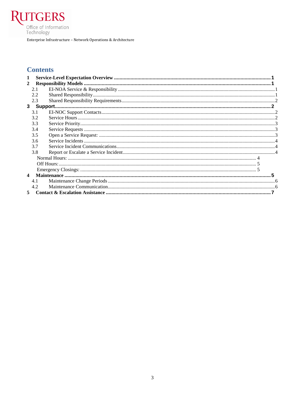

Enterprise Infrastructure – Network Operations & Architecture

# **Contents**

| 1                      |     |  |  |
|------------------------|-----|--|--|
| 2                      |     |  |  |
|                        | 2.1 |  |  |
|                        | 2.2 |  |  |
|                        | 2.3 |  |  |
|                        |     |  |  |
|                        | 3.1 |  |  |
|                        | 3.2 |  |  |
|                        | 3.3 |  |  |
|                        | 3.4 |  |  |
|                        | 3.5 |  |  |
|                        | 3.6 |  |  |
|                        | 37  |  |  |
|                        | 3.8 |  |  |
|                        |     |  |  |
|                        |     |  |  |
|                        |     |  |  |
| $\boldsymbol{\Lambda}$ |     |  |  |
|                        | 4.1 |  |  |
|                        | 4.2 |  |  |
| 5                      |     |  |  |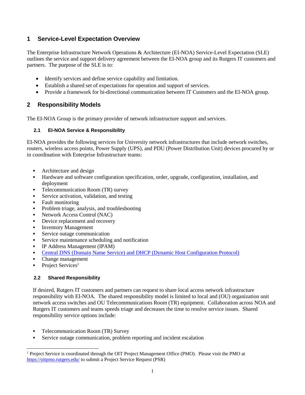# <span id="page-3-0"></span>**1 Service-Level Expectation Overview**

The Enterprise Infrastructure Network Operations & Architecture (EI-NOA) Service-Level Expectation (SLE) outlines the service and support delivery agreement between the EI-NOA group and its Rutgers IT customers and partners. The purpose of the SLE is to:

- Identify services and define service capability and limitation.
- Establish a shared set of expectations for operation and support of services.
- Provide a framework for bi-directional communication between IT Customers and the EI-NOA group.

# <span id="page-3-1"></span>**2 Responsibility Models**

The EI-NOA Group is the primary provider of network infrastructure support and services.

# <span id="page-3-2"></span>**2.1 EI-NOA Service & Responsibility**

EI-NOA provides the following services for University network infrastructures that include network switches, routers, wireless access points, Power Supply (UPS), and PDU (Power Distribution Unit) devices procured by or in coordination with Enterprise Infrastructure teams:

- Architecture and design
- Hardware and software configuration specification, order, upgrade, configuration, installation, and deployment
- Telecommunication Room (TR) survey
- Service activation, validation, and testing
- Fault monitoring
- Problem triage, analysis, and troubleshooting
- Network Access Control (NAC)
- Device replacement and recovery
- **Inventory Management**
- Service outage communication
- Service maintenance scheduling and notification
- IP Address Management (IPAM)
- [Central DNS \(Domain Name Service\) and DHCP \(Dynamic Host Configuration Protocol\)](https://ei.rutgers.edu/index.php/university-dnsdhcp-services/)
- Change management
- Project Services<sup>1</sup>

# <span id="page-3-3"></span>**2.2 Shared Responsibility**

If desired, Rutgers IT customers and partners can request to share local access network infrastructure responsibility with EI-NOA. The shared responsibility model is limited to local and (OU) organization unit network access switches and OU Telecommunications Room (TR) equipment. Collaboration across NOA and Rutgers IT customers and teams speeds triage and decreases the time to resolve service issues. Shared responsibility service options include:

- Telecommunication Room (TR) Survey
- Service outage communication, problem reporting and incident escalation

 $\overline{a}$ <sup>1</sup> Project Service is coordinated through the OIT Project Management Office (PMO). Please visit the PMO at <https://oitpmo.rutgers.edu/> to submit a Project Service Request (PSR)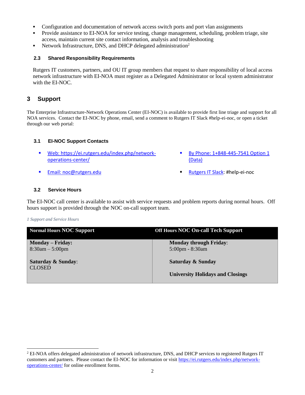- Configuration and documentation of network access switch ports and port vlan assignments
- Provide assistance to EI-NOA for service testing, change management, scheduling, problem triage, site access, maintain current site contact information, analysis and troubleshooting
- Network Infrastructure, DNS, and DHCP delegated administration<sup>2</sup>

## <span id="page-4-0"></span>**2.3 Shared Responsibility Requirements**

Rutgers IT customers, partners, and OU IT group members that request to share responsibility of local access network infrastructure with EI-NOA must register as a Delegated Administrator or local system administrator with the EI-NOC.

# <span id="page-4-1"></span>**3 Support**

The Enterprise Infrastructure-Network Operations Center (EI-NOC) is available to provide first line triage and support for all NOA services. Contact the EI-NOC by phone, email, send a comment to Rutgers IT Slack #help-ei-noc, or open a ticket through our web portal:

# <span id="page-4-2"></span>**3.1 EI-NOC Support Contacts**

- Web: [https://ei.rutgers.edu/index.php/network](https://ei.rutgers.edu/index.php/network-operations-center/)[operations-center/](https://ei.rutgers.edu/index.php/network-operations-center/)
- 
- By Phone: 1+848-445-7541 Option 1 (Data)
- **Email: [noc@rutgers.edu](mailto:noc@rutgers.edu) [Rutgers IT Slack:](file:///C:/Users/lzoubek-adm/Downloads/rutgers.slack.com) #help-ei-noc**

# <span id="page-4-3"></span>**3.2 Service Hours**

The EI-NOC call center is available to assist with service requests and problem reports during normal hours. Off hours support is provided through the NOC on-call support team.

## *1 Support and Service Hours*

 $\overline{a}$ 

| <b>Normal Hours NOC Support</b> | <b>Off Hours NOC On-call Tech Support</b> |
|---------------------------------|-------------------------------------------|
| <b>Monday – Friday:</b>         | <b>Monday through Friday:</b>             |
| $8:30am - 5:00pm$               | 5:00pm - 8:30am                           |
| <b>Saturday &amp; Sunday:</b>   | Saturday & Sunday                         |
| <b>CLOSED</b>                   | <b>University Holidays and Closings</b>   |

<sup>&</sup>lt;sup>2</sup> EI-NOA offers delegated administration of network infrastructure, DNS, and DHCP services to registered Rutgers IT customers and partners. Please contact the EI-NOC for information or visit [https://ei.rutgers.edu/index.php/network](https://ei.rutgers.edu/index.php/network-operations-center/)[operations-center/](https://ei.rutgers.edu/index.php/network-operations-center/) for online enrollment forms.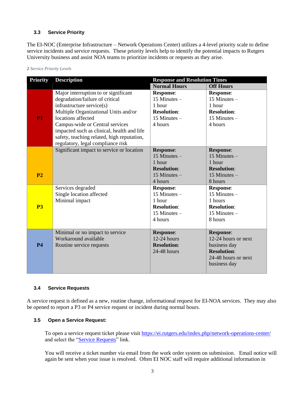## <span id="page-5-0"></span>**3.3 Service Priority**

The EI-NOC (Enterprise Infrastructure – Network Operations Center) utilizes a 4-level priority scale to define service incidents and service requests. These priority levels help to identify the potential impacts to Rutgers University business and assist NOA teams to prioritize incidents or requests as they arise.

#### *2 Service Priority Levels*

| <b>Priority</b> | <b>Description</b>                         | <b>Response and Resolution Times</b> |                     |
|-----------------|--------------------------------------------|--------------------------------------|---------------------|
|                 |                                            | <b>Normal Hours</b>                  | <b>Off Hours</b>    |
|                 | Major interruption to or significant       | <b>Response:</b>                     | <b>Response:</b>    |
|                 | degradation/failure of critical            | 15 Minutes $-$                       | 15 Minutes $-$      |
|                 | infrastructure service(s)                  | 1 hour                               | 1 hour              |
|                 | Multiple Organizational Units and/or       | <b>Resolution:</b>                   | <b>Resolution:</b>  |
| P <sub>1</sub>  | locations affected                         | 15 Minutes $-$                       | 15 Minutes $-$      |
|                 | Campus-wide or Central services            | 4 hours                              | 4 hours             |
|                 | impacted such as clinical, health and life |                                      |                     |
|                 | safety, teaching related, high reputation, |                                      |                     |
|                 | regulatory, legal compliance risk          |                                      |                     |
|                 | Significant impact to service or location  | <b>Response:</b>                     | <b>Response:</b>    |
|                 |                                            | 15 Minutes $-$                       | 15 Minutes $-$      |
|                 |                                            | 1 hour                               | 1 hour              |
|                 |                                            | <b>Resolution:</b>                   | <b>Resolution:</b>  |
| P <sub>2</sub>  |                                            | 15 Minutes $-$                       | $15$ Minutes $-$    |
|                 |                                            | 4 hours                              | 8 hours             |
|                 | Services degraded                          | <b>Response:</b>                     | <b>Response:</b>    |
|                 | Single location affected                   | 15 Minutes $-$                       | 15 Minutes $-$      |
|                 | Minimal impact                             | 1 hour                               | 1 hours             |
| P <sub>3</sub>  |                                            | <b>Resolution:</b>                   | <b>Resolution:</b>  |
|                 |                                            | 15 Minutes $-$                       | 15 Minutes $-$      |
|                 |                                            | 4 hours                              | 8 hours             |
|                 |                                            |                                      |                     |
|                 | Minimal or no impact to service            | <b>Response:</b>                     | <b>Response:</b>    |
|                 | Workaround available                       | $12-24$ hours                        | 12-24 hours or next |
| <b>P4</b>       | Routine service requests                   | <b>Resolution:</b>                   | business day        |
|                 |                                            | $24-48$ hours                        | <b>Resolution:</b>  |
|                 |                                            |                                      | 24-48 hours or next |
|                 |                                            |                                      | business day        |
|                 |                                            |                                      |                     |

## <span id="page-5-1"></span>**3.4 Service Requests**

A service request is defined as a new, routine change, informational request for EI-NOA services. They may also be opened to report a P3 or P4 service request or incident during normal hours.

# <span id="page-5-2"></span>**3.5 Open a Service Request:**

To open a service request ticket please visit<https://ei.rutgers.edu/index.php/network-operations-center/> and select the ["Service Requests"](https://oitforms.rutgers.edu/requests/td-networking) link.

You will receive a ticket number via email from the work order system on submission. Email notice will again be sent when your issue is resolved. Often EI NOC staff will require additional information in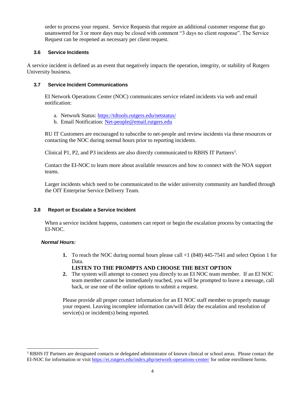order to process your request. Service Requests that require an additional customer response that go unanswered for 3 or more days may be closed with comment "3 days no client response". The Service Request can be reopened as necessary per client request.

## <span id="page-6-0"></span>**3.6 Service Incidents**

A service incident is defined as an event that negatively impacts the operation, integrity, or stability of Rutgers University business.

## <span id="page-6-1"></span>**3.7 Service Incident Communications**

EI Network Operations Center (NOC) communicates service related incidents via web and email notification:

- a. Network Status:<https://tdtools.rutgers.edu/netstatus/>
- b. Email Notification: [Net-people@email.rutgers.edu](mailto:Net-people@email.rutgers.edu)

RU IT Customers are encouraged to subscribe to net-people and review incidents via these resources or contacting the NOC during normal hours prior to reporting incidents.

Clinical P1, P2, and P3 incidents are also directly communicated to RBHS IT Partners<sup>3</sup>.

Contact the EI-NOC to learn more about available resources and how to connect with the NOA support teams.

Larger incidents which need to be communicated to the wider university community are handled through the OIT Enterprise Service Delivery Team.

# <span id="page-6-2"></span>**3.8 Report or Escalate a Service Incident**

When a service incident happens, customers can report or begin the escalation process by contacting the EI-NOC.

## <span id="page-6-3"></span>*Normal Hours:*

 $\overline{a}$ 

- **1.** To reach the NOC during normal hours please call +1 (848) 445-7541 and select Option 1 for Data.
- **LISTEN TO THE PROMPTS AND CHOOSE THE BEST OPTION 2.** The system will attempt to connect you directly to an EI NOC team member. If an EI NOC
- team member cannot be immediately reached, you will be prompted to leave a message, call back, or use one of the online options to submit a request.

Please provide all proper contact information for an EI NOC staff member to properly manage your request. Leaving incomplete information can/will delay the escalation and resolution of service(s) or incident(s) being reported.

<sup>&</sup>lt;sup>3</sup> RBHS IT Partners are designated contacts or delegated administrator of known clinical or school areas. Please contact the EI-NOC for information or visit <https://ei.rutgers.edu/index.php/network-operations-center/> for online enrollment forms.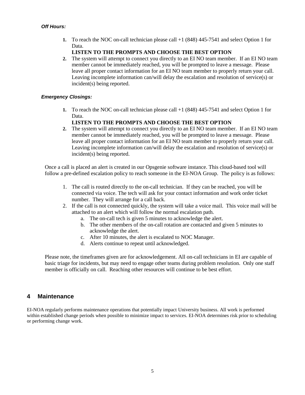<span id="page-7-0"></span>**1.** To reach the NOC on-call technician please call +1 (848) 445-7541 and select Option 1 for Data.

## **LISTEN TO THE PROMPTS AND CHOOSE THE BEST OPTION**

**2.** The system will attempt to connect you directly to an EI NO team member. If an EI NO team member cannot be immediately reached, you will be prompted to leave a message. Please leave all proper contact information for an EI NO team member to properly return your call. Leaving incomplete information can/will delay the escalation and resolution of service(s) or incident(s) being reported.

## <span id="page-7-1"></span>*Emergency Closings:*

**1.** To reach the NOC on-call technician please call +1 (848) 445-7541 and select Option 1 for Data.

# **LISTEN TO THE PROMPTS AND CHOOSE THE BEST OPTION**

**2.** The system will attempt to connect you directly to an EI NO team member. If an EI NO team member cannot be immediately reached, you will be prompted to leave a message. Please leave all proper contact information for an EI NO team member to properly return your call. Leaving incomplete information can/will delay the escalation and resolution of service(s) or incident(s) being reported.

Once a call is placed an alert is created in our Opsgenie software instance. This cloud-based tool will follow a pre-defined escalation policy to reach someone in the EI-NOA Group. The policy is as follows:

- 1. The call is routed directly to the on-call technician. If they can be reached, you will be connected via voice. The tech will ask for your contact information and work order ticket number. They will arrange for a call back.
- 2. If the call is not connected quickly, the system will take a voice mail. This voice mail will be attached to an alert which will follow the normal escalation path.
	- a. The on-call tech is given 5 minutes to acknowledge the alert.
	- b. The other members of the on-call rotation are contacted and given 5 minutes to acknowledge the alert.
	- c. After 10 minutes, the alert is escalated to NOC Manager.
	- d. Alerts continue to repeat until acknowledged.

Please note, the timeframes given are for acknowledgement. All on-call technicians in EI are capable of basic triage for incidents, but may need to engage other teams during problem resolution. Only one staff member is officially on call. Reaching other resources will continue to be best effort.

# <span id="page-7-2"></span>**4 Maintenance**

EI-NOA regularly performs maintenance operations that potentially impact University business. All work is performed within established change periods when possible to minimize impact to services. EI-NOA determines risk prior to scheduling or performing change work.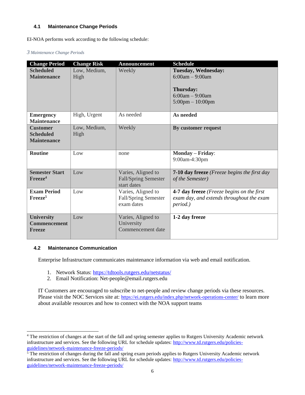### <span id="page-8-0"></span>**4.1 Maintenance Change Periods**

EI-NOA performs work according to the following schedule:

#### *3 Maintenance Change Periods*

| <b>Change Period</b>                                      | <b>Change Risk</b>   | <b>Announcement</b>                                              | <b>Schedule</b>                                                                                                         |
|-----------------------------------------------------------|----------------------|------------------------------------------------------------------|-------------------------------------------------------------------------------------------------------------------------|
| <b>Scheduled</b><br><b>Maintenance</b>                    | Low, Medium,<br>High | Weekly                                                           | <b>Tuesday, Wednesday:</b><br>$6:00am - 9:00am$<br>Thursday:<br>$6:00am - 9:00am$<br>$5:00 \text{pm} - 10:00 \text{pm}$ |
| <b>Emergency</b><br><b>Maintenance</b>                    | High, Urgent         | As needed                                                        | As needed                                                                                                               |
| <b>Customer</b><br><b>Scheduled</b><br><b>Maintenance</b> | Low, Medium,<br>High | Weekly                                                           | By customer request                                                                                                     |
| <b>Routine</b>                                            | Low                  | none                                                             | Monday - Friday:<br>9:00am-4:30pm                                                                                       |
| <b>Semester Start</b><br>Freeze <sup>4</sup>              | Low                  | Varies, Aligned to<br><b>Fall/Spring Semester</b><br>start dates | <b>7-10 day freeze</b> (Freeze begins the first day<br>of the Semester)                                                 |
| <b>Exam Period</b><br>Freeze <sup>5</sup>                 | Low                  | Varies, Aligned to<br>Fall/Spring Semester<br>exam dates         | 4-7 day freeze (Freeze begins on the first<br>exam day, and extends throughout the exam<br>period.)                     |
| <b>University</b><br><b>Commencement</b><br><b>Freeze</b> | Low                  | Varies, Aligned to<br>University<br>Commencement date            | 1-2 day freeze                                                                                                          |

#### <span id="page-8-1"></span>**4.2 Maintenance Communication**

Enterprise Infrastructure communicates maintenance information via web and email notification.

- 1. Network Status:<https://tdtools.rutgers.edu/netstatus/>
- 2. Email Notification: Net-people@email.rutgers.edu

IT Customers are encouraged to subscribe to net-people and review change periods via these resources. Please visit the NOC Services site at: <https://ei.rutgers.edu/index.php/network-operations-center/> to learn more about available resources and how to connect with the NOA support teams

 $\overline{a}$ <sup>4</sup> The restriction of changes at the start of the fall and spring semester applies to Rutgers University Academic network infrastructure and services. See the following URL for schedule updates: [http://www.td.rutgers.edu/policies](http://www.td.rutgers.edu/policies-guidelines/network-maintenance-freeze-periods/)[guidelines/network-maintenance-freeze-periods/](http://www.td.rutgers.edu/policies-guidelines/network-maintenance-freeze-periods/)

 $\frac{5}{3}$  The restriction of changes during the fall and spring exam periods applies to Rutgers University Academic network infrastructure and services. See the following URL for schedule updates: [http://www.td.rutgers.edu/policies](http://www.td.rutgers.edu/policies-guidelines/network-maintenance-freeze-periods/)[guidelines/network-maintenance-freeze-periods/](http://www.td.rutgers.edu/policies-guidelines/network-maintenance-freeze-periods/)